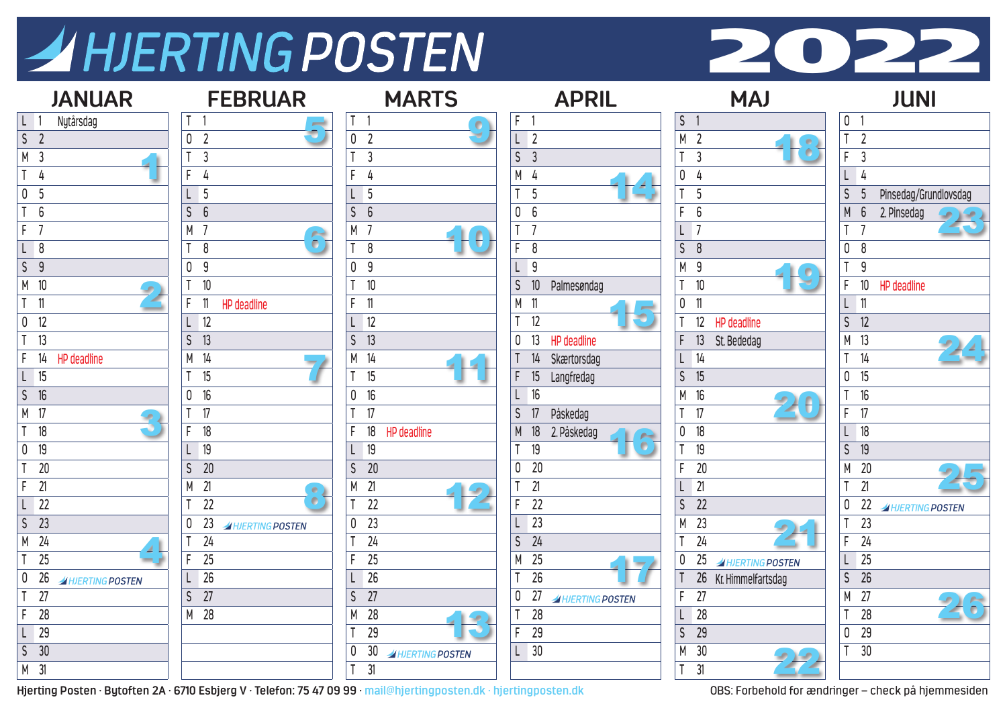## AHJERTING POSTEN



| <b>JANUAR</b>                              | <b>FEBRUAR</b>                                       | <b>MARTS</b>                    | <b>APRIL</b>                       | <b>MAJ</b>                          | <b>JUNI</b>                                |
|--------------------------------------------|------------------------------------------------------|---------------------------------|------------------------------------|-------------------------------------|--------------------------------------------|
| $\lfloor \lfloor 1 \rfloor$<br>Nytårsdag   |                                                      | T <sub>1</sub><br>$\bullet$     | F <sub>1</sub>                     | S <sub>1</sub>                      | 0 <sub>1</sub>                             |
| $\sqrt{5}$ 2                               | 0 <sub>2</sub>                                       | 0 <sub>2</sub>                  | $L$ 2                              | M <sub>2</sub>                      | T <sub>2</sub>                             |
| M <sub>3</sub>                             | $\overline{3}$                                       | $\overline{3}$                  | S <sub>3</sub>                     | $\left( 0\right)$<br>T <sub>3</sub> | F.<br>$\overline{3}$                       |
| T <sub>4</sub>                             | F.<br>4                                              | 4                               | M 4                                | 0<br>$\frac{1}{4}$                  | L4                                         |
| $\overline{0}$ 5                           | L <sub>5</sub>                                       | 5                               | 5<br>$\mathsf{T}$                  | 5                                   | $\mathsf{S}$<br>Pinsedag/Grundlovsdag<br>5 |
| T <sub>6</sub>                             | $\mathsf{S}$<br>6                                    | S<br>6                          | 0 <sub>6</sub>                     | F.<br>6                             | M<br>$6\overline{6}$<br>2. Pinsedag        |
| F <sub>7</sub>                             | M 7<br>$\delta$                                      | M                               | T <sub>7</sub>                     | $L$ 7                               | T<br>$\overline{7}$                        |
| L 8                                        | 8                                                    | T <sub>8</sub>                  | F.<br>8                            | S<br>8                              | 8<br>0                                     |
| S <sub>9</sub>                             | 0 <sup>9</sup>                                       | 9<br>$\mathbf 0$                | L9                                 | M 9                                 | $\mathsf{T}$<br>9                          |
| M 10                                       | 10<br>T                                              | 10                              | $\mathsf{S}$<br>10<br>Palmesøndag  | 10                                  | 10<br>F.<br>HP deadline                    |
| $T$ 11                                     | F.<br>$\overline{\phantom{1}}$<br><b>HP</b> deadline | 11<br>F.                        | M 11                               | $0$ 11                              | $\mathsf L$<br>$\blacksquare$              |
| $0$ 12                                     | $L$ 12                                               | $L$ 12                          | T <sub>12</sub>                    | 12 HP deadline                      | $S$ 12                                     |
| T <sub>13</sub>                            | $S$ 13                                               | 13<br>S                         | 13<br>0<br>HP deadline             | F.<br>13<br>St. Bededag             | M 13                                       |
| F<br>14<br>HP deadline                     | M 14                                                 | 14<br>М                         | 14<br>Skærtorsdag                  | $L$ 14                              | T<br>14                                    |
| $L$ 15                                     | 15                                                   | 15                              | F.<br>15<br>Langfredag             | S<br>15                             | 15<br>0                                    |
| 16<br>S                                    | 0 <sub>16</sub>                                      | 16<br>$\mathbf 0$               | $L$ 16                             | M 16                                | 16<br>T                                    |
| M 17                                       | 17                                                   | $\overline{17}$<br>T            | S<br>Påskedag<br>17                | T.<br>17                            | 17<br>F.                                   |
| T <sub>18</sub>                            | 18<br>F.                                             | 18<br>HP deadline               | 18<br>M<br>2. Påskedag             | 18<br>0                             | 18                                         |
| $0$ 19                                     | $L$ 19                                               | 19                              | $\bullet$<br>19                    | 19                                  | $\mathsf{S}$<br>19                         |
| T <sub>20</sub>                            | 20<br>$\mathsf{S}$                                   | 20<br>$\mathsf{S}$              | 0 <sub>20</sub>                    | F<br>20                             | 20<br>M                                    |
| F<br>21                                    | M 21<br>$\bullet$                                    | 21<br>М                         | 21                                 | $L$ 21                              | T<br>21                                    |
| L 22                                       | $\bullet$<br>22<br>$\mathsf{T}$                      | 22                              | F.<br>22                           | 22<br>$\mathsf{S}$                  | 22<br>0<br><b>AHJERTING POSTEN</b>         |
| $S$ 23                                     | 23<br>0<br><b>AHJERTING POSTEN</b>                   | $\overline{23}$<br>$\mathbf{0}$ | $L$ 23                             | M 23                                | 23                                         |
| M 24                                       | 24                                                   | $\overline{24}$                 | $S$ 24                             | 24                                  | $\overline{24}$<br>F                       |
| $T$ 25                                     | $\overline{25}$<br>F                                 | $\overline{25}$                 | M 25                               | 25<br>0<br>A HJERTING POSTEN        | $\overline{25}$<br>$\lfloor$               |
| 0 <sub>26</sub><br><b>AHJERTING POSTEN</b> | $L$ 26                                               | 26                              | 26                                 | 26 Kr. Himmelfartsdag               | S<br>26                                    |
| $T$ 27                                     | $S$ 27                                               | 27<br>$\mathsf{S}$              | 27<br>0<br><b>AHJERTING POSTEN</b> | $\overline{27}$<br>F.               | 27<br>M                                    |
| $\mathsf{F}$<br>28                         | M 28                                                 | 28<br>M                         | $\overline{28}$                    | $L$ 28                              | 28<br>T                                    |
| $L$ 29                                     |                                                      | 29                              | F.<br>29                           | $\overline{\mathsf{S}}$<br>29       | $\overline{29}$<br>0                       |
| $S$ 30                                     |                                                      | 30<br><b>AHJERTING POSTEN</b>   | $L$ 30                             | M 30                                | 30                                         |
| M 31                                       |                                                      | 31<br>$\mathsf{T}$              |                                    | T<br>31                             |                                            |

**Hjerting Posten · Bytoften 2A · 6710 Esbjerg V · Telefon: 75 47 09 99 · mail@hjertingposten.dk · hjertingposten.dk** OBS: Forbehold for ændringer – check på hjemmesiden